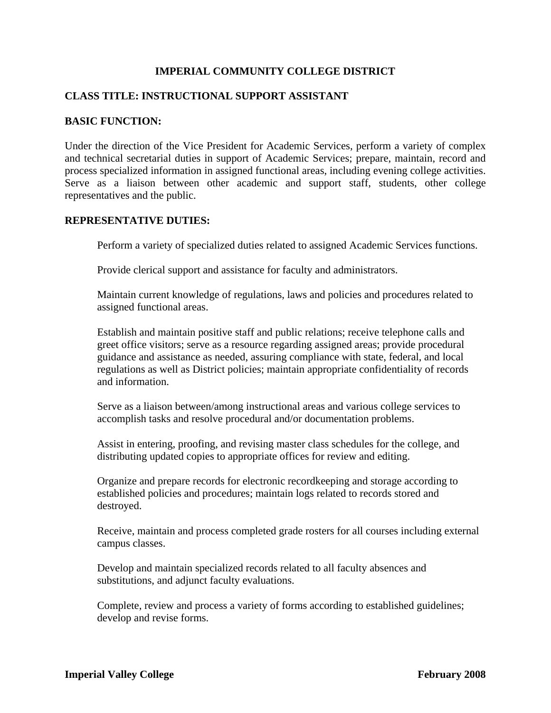## **IMPERIAL COMMUNITY COLLEGE DISTRICT**

## **CLASS TITLE: INSTRUCTIONAL SUPPORT ASSISTANT**

#### **BASIC FUNCTION:**

Under the direction of the Vice President for Academic Services, perform a variety of complex and technical secretarial duties in support of Academic Services; prepare, maintain, record and process specialized information in assigned functional areas, including evening college activities. Serve as a liaison between other academic and support staff, students, other college representatives and the public.

## **REPRESENTATIVE DUTIES:**

Perform a variety of specialized duties related to assigned Academic Services functions.

Provide clerical support and assistance for faculty and administrators.

Maintain current knowledge of regulations, laws and policies and procedures related to assigned functional areas.

Establish and maintain positive staff and public relations; receive telephone calls and greet office visitors; serve as a resource regarding assigned areas; provide procedural guidance and assistance as needed, assuring compliance with state, federal, and local regulations as well as District policies; maintain appropriate confidentiality of records and information.

Serve as a liaison between/among instructional areas and various college services to accomplish tasks and resolve procedural and/or documentation problems.

Assist in entering, proofing, and revising master class schedules for the college, and distributing updated copies to appropriate offices for review and editing.

Organize and prepare records for electronic recordkeeping and storage according to established policies and procedures; maintain logs related to records stored and destroyed.

Receive, maintain and process completed grade rosters for all courses including external campus classes.

Develop and maintain specialized records related to all faculty absences and substitutions, and adjunct faculty evaluations.

Complete, review and process a variety of forms according to established guidelines; develop and revise forms.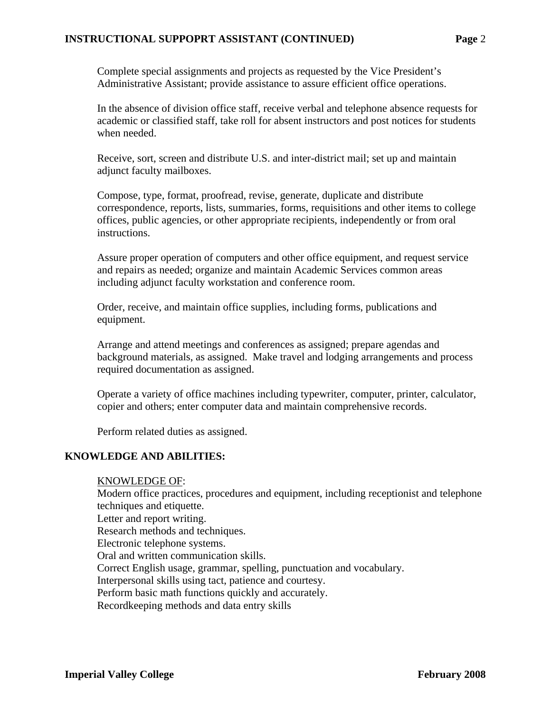## **INSTRUCTIONAL SUPPOPRT ASSISTANT (CONTINUED) Page** 2

Complete special assignments and projects as requested by the Vice President's Administrative Assistant; provide assistance to assure efficient office operations.

In the absence of division office staff, receive verbal and telephone absence requests for academic or classified staff, take roll for absent instructors and post notices for students when needed.

Receive, sort, screen and distribute U.S. and inter-district mail; set up and maintain adjunct faculty mailboxes.

Compose, type, format, proofread, revise, generate, duplicate and distribute correspondence, reports, lists, summaries, forms, requisitions and other items to college offices, public agencies, or other appropriate recipients, independently or from oral instructions.

Assure proper operation of computers and other office equipment, and request service and repairs as needed; organize and maintain Academic Services common areas including adjunct faculty workstation and conference room.

Order, receive, and maintain office supplies, including forms, publications and equipment.

Arrange and attend meetings and conferences as assigned; prepare agendas and background materials, as assigned. Make travel and lodging arrangements and process required documentation as assigned.

Operate a variety of office machines including typewriter, computer, printer, calculator, copier and others; enter computer data and maintain comprehensive records.

Perform related duties as assigned.

#### **KNOWLEDGE AND ABILITIES:**

#### KNOWLEDGE OF:

Modern office practices, procedures and equipment, including receptionist and telephone techniques and etiquette.

Letter and report writing.

Research methods and techniques.

Electronic telephone systems.

Oral and written communication skills.

Correct English usage, grammar, spelling, punctuation and vocabulary.

Interpersonal skills using tact, patience and courtesy.

Perform basic math functions quickly and accurately.

Recordkeeping methods and data entry skills